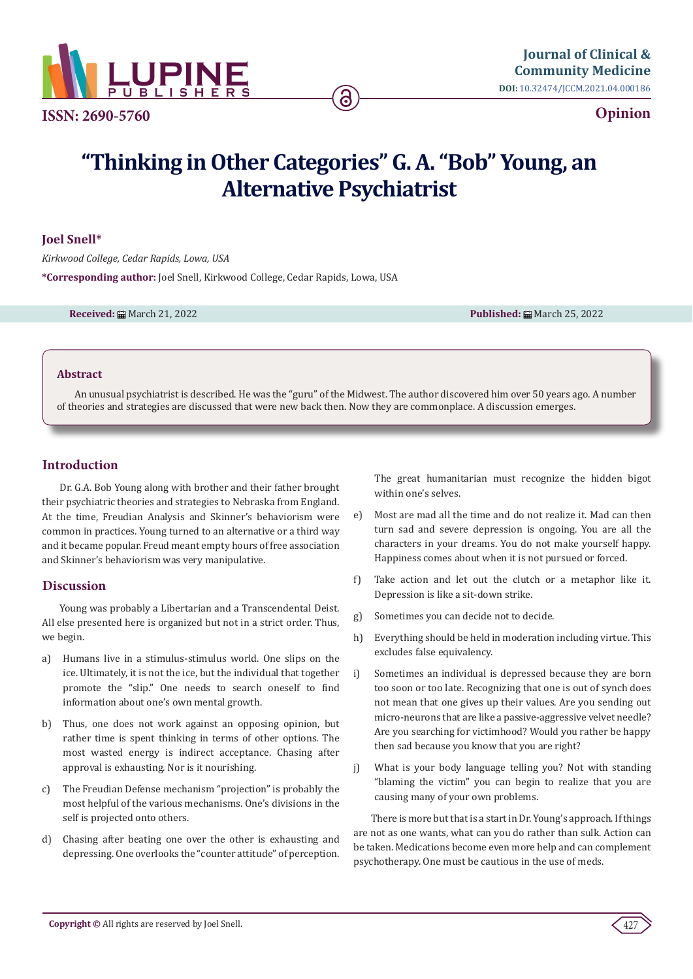

**ISSN: 2690-5760**

# **Opinion**

# **"Thinking in Other Categories" G. A. "Bob" Young, an Alternative Psychiatrist**

ခ

## **Joel Snell\***

*Kirkwood College, Cedar Rapids, Lowa, USA* **\*Corresponding author:** Joel Snell, Kirkwood College, Cedar Rapids, Lowa, USA

**Received:** March 21, 2022 **Published:** March 25, 2022

### **Abstract**

An unusual psychiatrist is described. He was the "guru" of the Midwest. The author discovered him over 50 years ago. A number of theories and strategies are discussed that were new back then. Now they are commonplace. A discussion emerges.

## **Introduction**

Dr. G.A. Bob Young along with brother and their father brought their psychiatric theories and strategies to Nebraska from England. At the time, Freudian Analysis and Skinner's behaviorism were common in practices. Young turned to an alternative or a third way and it became popular. Freud meant empty hours of free association and Skinner's behaviorism was very manipulative.

## **Discussion**

Young was probably a Libertarian and a Transcendental Deist. All else presented here is organized but not in a strict order. Thus, we begin.

- a) Humans live in a stimulus-stimulus world. One slips on the ice. Ultimately, it is not the ice, but the individual that together promote the "slip." One needs to search oneself to find information about one's own mental growth.
- b) Thus, one does not work against an opposing opinion, but rather time is spent thinking in terms of other options. The most wasted energy is indirect acceptance. Chasing after approval is exhausting. Nor is it nourishing.
- c) The Freudian Defense mechanism "projection" is probably the most helpful of the various mechanisms. One's divisions in the self is projected onto others.
- d) Chasing after beating one over the other is exhausting and depressing. One overlooks the "counter attitude" of perception.

The great humanitarian must recognize the hidden bigot within one's selves.

- e) Most are mad all the time and do not realize it. Mad can then turn sad and severe depression is ongoing. You are all the characters in your dreams. You do not make yourself happy. Happiness comes about when it is not pursued or forced.
- f) Take action and let out the clutch or a metaphor like it. Depression is like a sit-down strike.
- g) Sometimes you can decide not to decide.
- h) Everything should be held in moderation including virtue. This excludes false equivalency.
- i) Sometimes an individual is depressed because they are born too soon or too late. Recognizing that one is out of synch does not mean that one gives up their values. Are you sending out micro-neurons that are like a passive-aggressive velvet needle? Are you searching for victimhood? Would you rather be happy then sad because you know that you are right?
- j) What is your body language telling you? Not with standing "blaming the victim" you can begin to realize that you are causing many of your own problems.

There is more but that is a start in Dr. Young's approach. If things are not as one wants, what can you do rather than sulk. Action can be taken. Medications become even more help and can complement psychotherapy. One must be cautious in the use of meds.